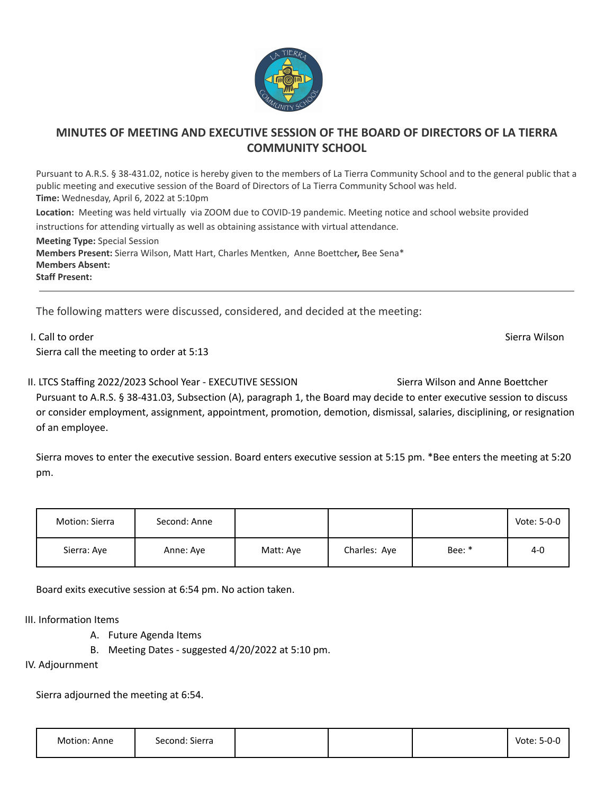

## **MINUTES OF MEETING AND EXECUTIVE SESSION OF THE BOARD OF DIRECTORS OF LA TIERRA COMMUNITY SCHOOL**

Pursuant to A.R.S. § 38-431.02, notice is hereby given to the members of La Tierra Community School and to the general public that a public meeting and executive session of the Board of Directors of La Tierra Community School was held. **Time:** Wednesday, April 6, 2022 at 5:10pm **Location:** Meeting was held virtually via ZOOM due to COVID-19 pandemic. Meeting notice and school website provided instructions for attending virtually as well as obtaining assistance with virtual attendance. **Meeting Type:** Special Session **Members Present:** Sierra Wilson, Matt Hart, Charles Mentken, Anne Boettche**r,** Bee Sena\* **Members Absent:**

**Staff Present:**

The following matters were discussed, considered, and decided at the meeting:

I. Call to order Sierra Wilson and Sierra Wilson Sierra Wilson Sierra Wilson Sierra Wilson Sierra Wilson Sierra Wilson Sierra call the meeting to order at 5:13

II. LTCS Staffing 2022/2023 School Year - EXECUTIVE SESSION Sierra Wilson and Anne Boettcher Pursuant to A.R.S. § 38-431.03, Subsection (A), paragraph 1, the Board may decide to enter executive session to discuss or consider employment, assignment, appointment, promotion, demotion, dismissal, salaries, disciplining, or resignation of an employee.

Sierra moves to enter the executive session. Board enters executive session at 5:15 pm. \*Bee enters the meeting at 5:20 pm.

| Motion: Sierra | Second: Anne |           |              |        | Vote: 5-0-0 |
|----------------|--------------|-----------|--------------|--------|-------------|
| Sierra: Aye    | Anne: Aye    | Matt: Aye | Charles: Aye | Bee: * | $4-0$       |

Board exits executive session at 6:54 pm. No action taken.

III. Information Items

- A. Future Agenda Items
- B. Meeting Dates suggested 4/20/2022 at 5:10 pm.

IV. Adjournment

Sierra adjourned the meeting at 6:54.

| Motion: Anne | Second: Sierra |  | Vote: 5-0-0 |
|--------------|----------------|--|-------------|
|              |                |  |             |